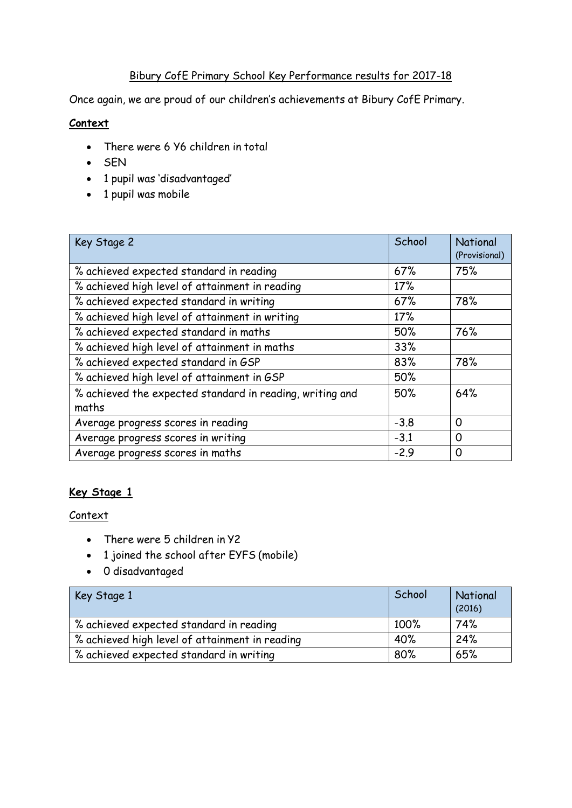# Bibury CofE Primary School Key Performance results for 2017-18

Once again, we are proud of our children's achievements at Bibury CofE Primary.

## **Context**

- There were 6 Y6 children in total
- $-SEN$
- 1 pupil was 'disadvantaged'
- 1 pupil was mobile

| Key Stage 2                                                       | School | National<br>(Provisional) |
|-------------------------------------------------------------------|--------|---------------------------|
| % achieved expected standard in reading                           | 67%    | 75%                       |
| % achieved high level of attainment in reading                    | 17%    |                           |
| % achieved expected standard in writing                           | 67%    | 78%                       |
| % achieved high level of attainment in writing                    | 17%    |                           |
| % achieved expected standard in maths                             | 50%    | 76%                       |
| % achieved high level of attainment in maths                      | 33%    |                           |
| % achieved expected standard in GSP                               | 83%    | 78%                       |
| % achieved high level of attainment in GSP                        | 50%    |                           |
| % achieved the expected standard in reading, writing and<br>maths | 50%    | 64%                       |
| Average progress scores in reading                                | $-3.8$ | 0                         |
| Average progress scores in writing                                | $-3.1$ | $\Omega$                  |
| Average progress scores in maths                                  | $-2.9$ | O                         |

### **Key Stage 1**

#### **Context**

- There were 5 children in Y2
- 1 joined the school after EYFS (mobile)
- 0 disadvantaged

| Key Stage 1                                    | School | National<br>(2016) |
|------------------------------------------------|--------|--------------------|
| % achieved expected standard in reading        | 100%   | 74%                |
| % achieved high level of attainment in reading | 40%    | 24%                |
| % achieved expected standard in writing        | 80%    | 65%                |